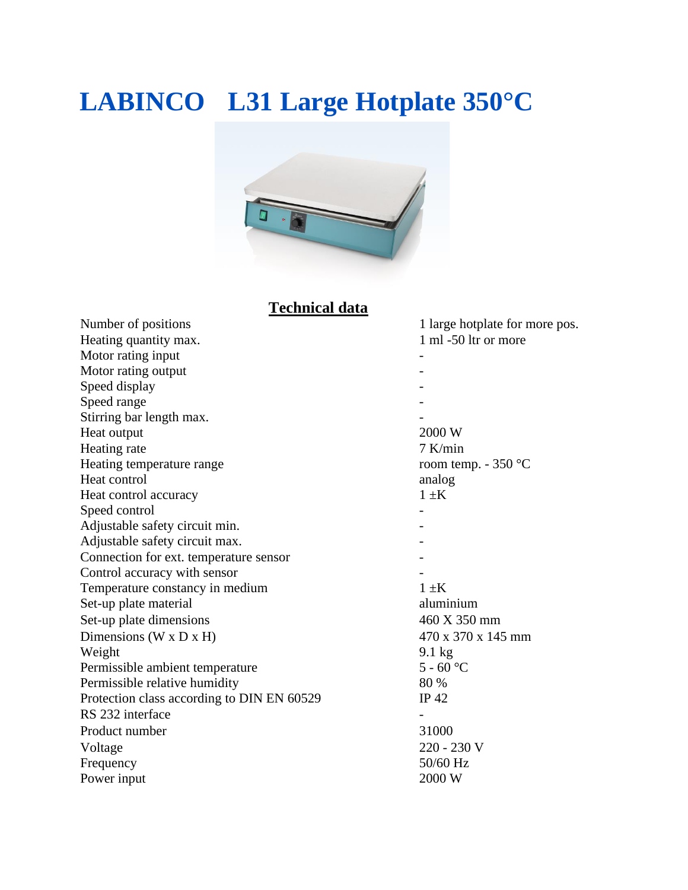## **LABINCO L31 Large Hotplate 350°C**



### **Technical data**

| Number of positions                        | 1 large hotplate for more pos. |
|--------------------------------------------|--------------------------------|
| Heating quantity max.                      | 1 ml -50 ltr or more           |
| Motor rating input                         |                                |
| Motor rating output                        |                                |
| Speed display                              |                                |
| Speed range                                |                                |
| Stirring bar length max.                   |                                |
| Heat output                                | 2000 W                         |
| Heating rate                               | $7$ K/min                      |
| Heating temperature range                  | room temp. $-350$ °C           |
| Heat control                               | analog                         |
| Heat control accuracy                      | $1 \pm K$                      |
| Speed control                              |                                |
| Adjustable safety circuit min.             |                                |
| Adjustable safety circuit max.             |                                |
| Connection for ext. temperature sensor     |                                |
| Control accuracy with sensor               |                                |
| Temperature constancy in medium            | $1 \pm K$                      |
| Set-up plate material                      | aluminium                      |
| Set-up plate dimensions                    | 460 X 350 mm                   |
| Dimensions (W x D x H)                     | 470 x 370 x 145 mm             |
| Weight                                     | $9.1 \text{ kg}$               |
| Permissible ambient temperature            | $5 - 60$ °C                    |
| Permissible relative humidity              | 80 %                           |
| Protection class according to DIN EN 60529 | IP 42                          |
| RS 232 interface                           |                                |
| Product number                             | 31000                          |
| Voltage                                    | 220 - 230 V                    |
| Frequency                                  | 50/60 Hz                       |
| Power input                                | 2000 W                         |